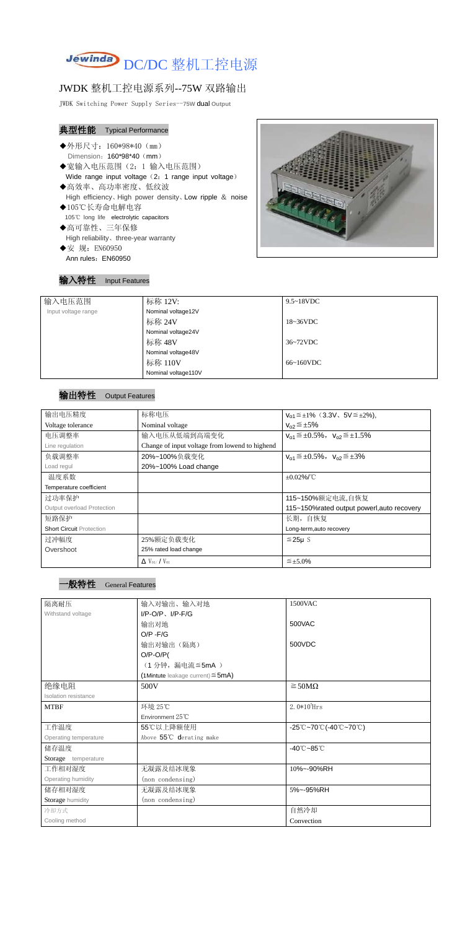

# JWDK 整机工控电源系列--75W 双路输出

JWDK Switching Power Supply Series--**75W** dual **Output**

# 典型性能 Typical Performance

- ◆外形尺寸: 160\*98\*40 (mm) Dimension: 160\*98\*40 (mm)
- ◆宽输入电压范围(2:1 输入电压范围) Wide range input voltage (2: 1 range input voltage)
- ◆高效率、高功率密度、低纹波 High efficiency、High power density、Low ripple & noise ◆105℃长寿命电解电容
- 105℃ long life electrolytic capacitors
- ◆高可靠性、三年保修 High reliability、three-year warranty
- ◆安 规: EN60950 Ann rules: EN60950

输入特性 Input Features



| 输入电压范围              | 标称 12V:             | $9.5 \sim 18$ VDC   |
|---------------------|---------------------|---------------------|
| Input voltage range | Nominal voltage12V  |                     |
|                     | 标称 24V              | $18~36\textrm{VDC}$ |
|                     | Nominal voltage24V  |                     |
|                     | 标称 48V              | $36~72$ VDC         |
|                     | Nominal voltage48V  |                     |
|                     | 标称 110V             | $66~160$ VDC        |
|                     | Nominal voltage110V |                     |

### 输出特性 Output Features



| 输出电压精度                          | 标称电压                                           | $V_{01} \leq \pm 1\%$ (3.3V, 5V $\leq \pm 2\%$ ), |
|---------------------------------|------------------------------------------------|---------------------------------------------------|
| Voltage tolerance               | Nominal voltage                                | $V_{02} \leq \pm 5\%$                             |
| 电压调整率                           | 输入电压从低端到高端变化                                   | $V_{01} \leq \pm 0.5\%$ , $V_{02} \leq \pm 1.5\%$ |
| Line regulation                 | Change of input voltage from lowend to highend |                                                   |
| 负载调整率                           | 20%~100%负载变化                                   | $V_{01} \leq \pm 0.5\%$ , $V_{02} \leq \pm 3\%$   |
| Load regul                      | 20%~100% Load change                           |                                                   |
| 温度系数                            |                                                | $\pm 0.02\%$ /°C                                  |
| Temperature coefficient         |                                                |                                                   |
| 过功率保护                           |                                                | 115~150%额定电流,自恢复                                  |
| Output overload Protection      |                                                | 115~150% rated output powerl, auto recovery       |
| 短路保护                            |                                                | 长期, 自恢复                                           |
| <b>Short Circuit Protection</b> |                                                | Long-term, auto recovery                          |
| 过冲幅度                            | 25%额定负载变化                                      | $≤25\mu$ S                                        |
| Overshoot                       | 25% rated load change                          |                                                   |
|                                 | $\Delta$ V <sub>01</sub> /V <sub>01</sub>      | $\leq \pm 5.0\%$                                  |

| 隔离耐压                  | 输入对输出、输入对地                                | 1500VAC                                                                       |
|-----------------------|-------------------------------------------|-------------------------------------------------------------------------------|
| Withstand voltage     | $I/P-O/P$ , $I/P$ -F/G                    |                                                                               |
|                       | 输出对地                                      | 500VAC                                                                        |
|                       | $O/P - F/G$                               |                                                                               |
|                       | 输出对输出(隔离)                                 | 500VDC                                                                        |
|                       | $O/P-O/P($                                |                                                                               |
|                       | (1分钟,漏电流≦5mA)                             |                                                                               |
|                       | $(1$ Mintute leakage current) $\leq$ 5mA) |                                                                               |
| 绝缘电阻                  | 500V                                      | $\geq$ 50M $\Omega$                                                           |
| Isolation resistance  |                                           |                                                                               |
| <b>MTBF</b>           | 环境 25℃                                    | $2.0*105$ Hrs                                                                 |
|                       | Environment $25^{\circ}$ C                |                                                                               |
| 工作温度                  | 55℃以上降额使用                                 | $-25^{\circ}\text{C}-70^{\circ}\text{C}$ (-40 $\text{C}-70^{\circ}\text{C}$ ) |
| Operating temperature | Above 55°C derating make                  |                                                                               |
| 储存温度                  |                                           | $-40^{\circ}$ C $-85^{\circ}$ C                                               |
| Storage temperature   |                                           |                                                                               |
| 工作相对湿度                | 无凝露及结冰现象                                  | 10%~-90%RH                                                                    |
| Operating humidity    | (non condensing)                          |                                                                               |
| 储存相对湿度                | 无凝露及结冰现象                                  | 5%~-95%RH                                                                     |
| Storage humidity      | (non condensing)                          |                                                                               |
| 冷却方式                  |                                           | 自然冷却                                                                          |
| Cooling method        |                                           | Convection                                                                    |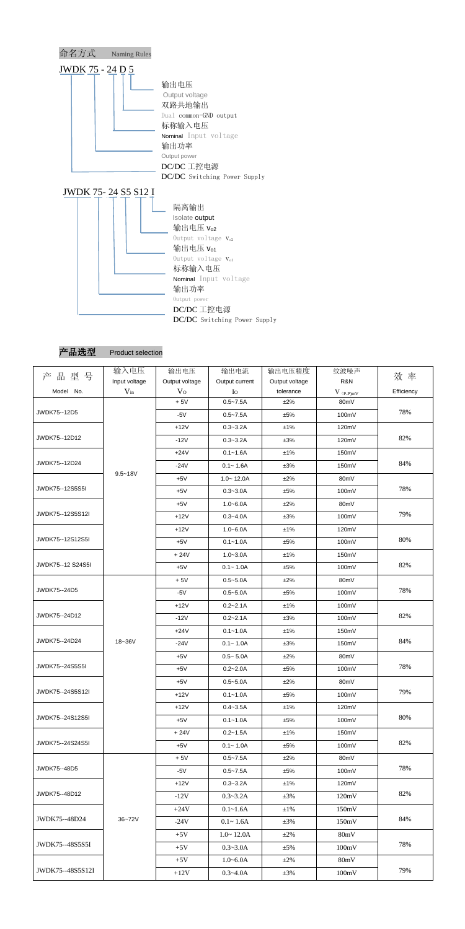

DC/DC 工控电源

DC/DC Switching Power Supply

产品选型 Product selection

| 品型号<br>产           | 输入电压          | 输出电压           | 输出电流           | 输出电压精度         | 纹波噪声                                   | 效率         |
|--------------------|---------------|----------------|----------------|----------------|----------------------------------------|------------|
|                    | Input voltage | Output voltage | Output current | Output voltage | R&N                                    |            |
| Model No.          | $V_{in}$      | V <sub>O</sub> | $I_{\rm O}$    | tolerance      | $V$ $\mathrm{(}p\text{-}p\mathrm{)}mV$ | Efficiency |
|                    |               | $+5V$          | $0.5 - 7.5A$   | ±2%            | 80mV                                   | 78%        |
| JWDK75--12D5       |               | $-5V$          | $0.5 - 7.5A$   | ±5%            | 100mV                                  |            |
|                    |               | $+12V$         | $0.3 - 3.2A$   | ±1%            | 120mV                                  |            |
| JWDK75--12D12      |               | $-12V$         | $0.3 - 3.2A$   | ±3%            | 120mV                                  | 82%        |
|                    |               | $+24V$         | $0.1 - 1.6A$   | ±1%            | 150mV                                  |            |
| JWDK75--12D24      |               | $-24V$         | $0.1 - 1.6A$   | ±3%            | 150mV                                  | 84%        |
|                    | $9.5 - 18V$   | $+5V$          | $1.0 - 12.0A$  | ±2%            | 80mV                                   |            |
| JWDK75--12S5S5I    |               | $+5V$          | $0.3 - 3.0A$   | ±5%            | 100mV                                  | 78%        |
|                    |               | $+5V$          | $1.0 - 6.0A$   | ±2%            | 80mV                                   |            |
| JWDK75 -- 12S5S12I |               | $+12V$         | $0.3 - 4.0A$   | ±3%            | 100mV                                  | 79%        |
|                    |               | $+12V$         | $1.0 - 6.0A$   | ±1%            | 120mV                                  |            |
| JWDK75--12S12S5I   |               | $+5V$          | $0.1 - 1.0A$   | ±5%            | 100mV                                  | 80%        |
|                    |               | $+24V$         | $1.0 - 3.0A$   | ±1%            | 150mV                                  |            |
| JWDK75--12 S24S5I  |               | $+5V$          | $0.1 - 1.0A$   | ±5%            | 100mV                                  | 82%        |
|                    |               | $+5V$          | $0.5 - 5.0A$   | ±2%            | 80mV                                   |            |
| JWDK75--24D5       |               | $-5V$          | $0.5 - 5.0A$   | ±5%            | 100mV                                  | 78%        |
|                    |               | $+12V$         | $0.2 - 2.1A$   | ±1%            | 100mV                                  |            |
| JWDK75--24D12      |               | $-12V$         | $0.2 - 2.1A$   | ±3%            | 100mV                                  | 82%        |
|                    |               | $+24V$         | $0.1 - 1.0A$   | ±1%            | 150mV                                  |            |
| JWDK75--24D24      | 18~36V        | $-24V$         | $0.1 - 1.0A$   | ±3%            | 150mV                                  | 84%        |
|                    |               | $+5V$          | $0.5 - 5.0A$   | ±2%            | 80mV                                   |            |
| JWDK75--24S5S5I    |               | $+5V$          | $0.2 - 2.0A$   | ±5%            | 100mV                                  | 78%        |
|                    |               | $+5V$          | $0.5 - 5.0A$   | ±2%            | 80mV                                   |            |
| JWDK75 -- 24S5S12I |               | $+12V$         | $0.1 - 1.0A$   | ±5%            | 100mV                                  | 79%        |
|                    |               | $+12V$         | $0.4 - 3.5A$   | ±1%            | 120mV                                  |            |
| JWDK75--24S12S5I   |               | $+5V$          | $0.1 - 1.0A$   | ±5%            | 100mV                                  | 80%        |
|                    |               | $+24V$         | $0.2 - 1.5A$   | ±1%            | 150mV                                  |            |
| JWDK75--24S24S5I   |               | $+5V$          | $0.1 - 1.0A$   | ±5%            | 100mV                                  | 82%        |
|                    |               | $+5V$          | $0.5 - 7.5A$   | ±2%            | 80mV                                   |            |
| JWDK75--48D5       |               | $-5V$          | $0.5 - 7.5A$   | ±5%            | 100mV                                  | 78%        |
|                    |               | $+12V$         | $0.3 - 3.2A$   | ±1%            | 120mV                                  |            |
| JWDK75--48D12      |               | $-12V$         | $0.3 - 3.2A$   | $\pm 3\%$      | 120mV                                  | 82%        |
|                    |               | $+24V$         | $0.1 - 1.6A$   | $\pm 1\%$      | 150mV                                  |            |
| JWDK75--48D24      | 36~72V        | $-24V$         |                |                |                                        | 84%        |
|                    |               |                | $0.1 - 1.6A$   | $\pm 3\%$      | 150mV                                  |            |
| JWDK75--48S5S5I    |               | $+5V$          | $1.0 - 12.0A$  | $\pm 2\%$      | 80mV                                   | 78%        |
|                    |               | $+5V$          | $0.3 - 3.0A$   | $\pm$ 5%       | 100mV                                  |            |
| JWDK75--48S5S12I   |               | $+5V$          | $1.0 - 6.0A$   | $\pm 2\%$      | 80mV                                   | 79%        |
|                    |               | $+12V$         | $0.3 - 4.0A$   | $\pm 3\%$      | 100mV                                  |            |